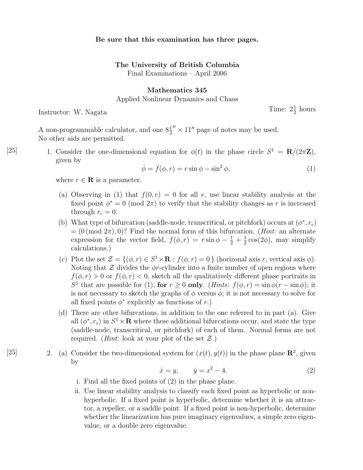## Be sure that this examination has three pages.

## The University of British Columbia

Final Examinations – April 2006

## Mathematics 345

Applied Nonlinear Dynamics and Chaos

Instructor: W. Nagata

 $\frac{1}{2}$  hours

A non-programmable calculator, and one  $8\frac{1}{2}'' \times 11''$  page of notes may be used. No other aids are permitted.

[25] 1. Consider the one-dimensional equation for  $\phi(t)$  in the phase circle  $S^1 = \mathbf{R}/(2\pi\mathbf{Z})$ , given by

$$
\dot{\phi} = f(\phi, r) = r \sin \phi - \sin^2 \phi,\tag{1}
$$

where  $r \in \mathbf{R}$  is a parameter.

- (a) Observing in (1) that  $f(0, r) = 0$  for all r, use linear stability analysis at the fixed point  $\phi^* = 0 \pmod{2\pi}$  to verify that the stability changes as r is increased through  $r_c = 0$ .
- (b) What type of bifurcation (saddle-node, transcritical, or pitchfork) occurs at  $(\phi^*, r_c)$  $=(0 \pmod{2\pi}, 0)$ ? Find the normal form of this bifurcation. (*Hint*: an alternate expression for the vector field,  $f(\phi, r) = r \sin \phi - \frac{1}{2} + \frac{1}{2}$  $\frac{1}{2} \cos(2\phi)$ , may simplify calculations.)
- (c) Plot the set  $\mathcal{Z} = \{(\phi, r) \in S^1 \times \mathbf{R} : f(\phi, r) = 0\}$  (horizonal axis r, vertical axis  $\phi$ ). Noting that  $\mathcal Z$  divides the  $\phi r$ -cylinder into a finite number of open regions where  $f(\phi, r) > 0$  or  $f(\phi, r) < 0$ , sketch all the qualitatively different phase portraits in S<sup>1</sup> that are possible for (1), for  $r \ge 0$  only. (*Hints:*  $f(\phi, r) = \sin \phi(r - \sin \phi)$ ; it is not necessary to sketch the graphs of  $\phi$  versus  $\dot{\phi}$ ; it is not necessary to solve for all fixed points  $\phi^*$  explicitly as functions of r.)
- (d) There are other bifurcations, in addition to the one referred to in part (a). Give all  $(\phi^*, r_c)$  in  $S^1 \times \mathbf{R}$  where these additional bifurcations occur, and state the type (saddle-node, transcritical, or pitchfork) of each of them. Normal forms are not required. (*Hint:* look at your plot of the set  $\mathcal{Z}$ .)
- [25] 2. (a) Consider the two-dimensional system for  $(x(t), y(t))$  in the phase plane  $\mathbb{R}^2$ , given by

$$
\dot{x} = y, \qquad \dot{y} = x^2 - 4. \tag{2}
$$

- i. Find all the fixed points of (2) in the phase plane.
- ii. Use linear stability analysis to classify each fixed point as hyperbolic or nonhyperbolic. If a fixed point is hyperbolic, determine whether it is an attractor, a repeller, or a saddle point. If a fixed point is non-hyperbolic, determine whether the linearization has pure imaginary eigenvalues, a simple zero eigenvalue, or a double zero eigenvalue.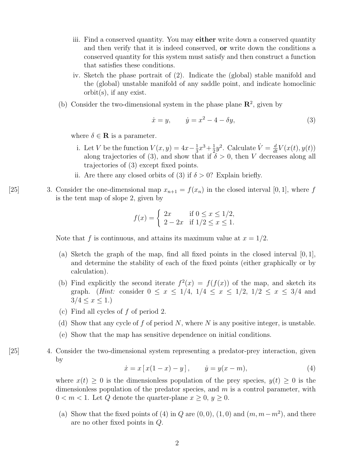- iii. Find a conserved quantity. You may either write down a conserved quantity and then verify that it is indeed conserved, or write down the conditions a conserved quantity for this system must satisfy and then construct a function that satisfies these conditions.
- iv. Sketch the phase portrait of (2). Indicate the (global) stable manifold and the (global) unstable manifold of any saddle point, and indicate homoclinic orbit(s), if any exist.
- (b) Consider the two-dimensional system in the phase plane  $\mathbb{R}^2$ , given by

$$
\dot{x} = y, \qquad \dot{y} = x^2 - 4 - \delta y,\tag{3}
$$

where  $\delta \in \mathbf{R}$  is a parameter.

- i. Let V be the function  $V(x, y) = 4x \frac{1}{3}$  $\frac{1}{3}x^3 + \frac{1}{2}$  $\frac{1}{2}y^2$ . Calculate  $\dot{V} = \frac{d}{dt}V(x(t), y(t))$ along trajectories of (3), and show that if  $\delta > 0$ , then V decreases along all trajectories of (3) except fixed points.
- ii. Are there any closed orbits of (3) if  $\delta > 0$ ? Explain briefly.
- [25] 3. Consider the one-dimensional map  $x_{n+1} = f(x_n)$  in the closed interval [0, 1], where f is the tent map of slope 2, given by

$$
f(x) = \begin{cases} 2x & \text{if } 0 \le x \le 1/2, \\ 2 - 2x & \text{if } 1/2 \le x \le 1. \end{cases}
$$

Note that f is continuous, and attains its maximum value at  $x = 1/2$ .

- (a) Sketch the graph of the map, find all fixed points in the closed interval  $[0, 1]$ , and determine the stability of each of the fixed points (either graphically or by calculation).
- (b) Find explicitly the second iterate  $f^2(x) = f(f(x))$  of the map, and sketch its graph. (*Hint:* consider  $0 \le x \le 1/4$ ,  $1/4 \le x \le 1/2$ ,  $1/2 \le x \le 3/4$  and  $3/4 \leq x \leq 1.$
- (c) Find all cycles of f of period 2.
- (d) Show that any cycle of  $f$  of period  $N$ , where  $N$  is any positive integer, is unstable.
- (e) Show that the map has sensitive dependence on initial conditions.
- [25] 4. Consider the two-dimensional system representing a predator-prey interaction, given by

$$
\dot{x} = x [x(1-x) - y], \qquad \dot{y} = y(x-m), \tag{4}
$$

where  $x(t) \geq 0$  is the dimensionless population of the prey species,  $y(t) \geq 0$  is the dimensionless population of the predator species, and  $m$  is a control parameter, with  $0 < m < 1$ . Let Q denote the quarter-plane  $x \geq 0, y \geq 0$ .

(a) Show that the fixed points of (4) in Q are  $(0,0)$ ,  $(1,0)$  and  $(m, m-m^2)$ , and there are no other fixed points in Q.

2